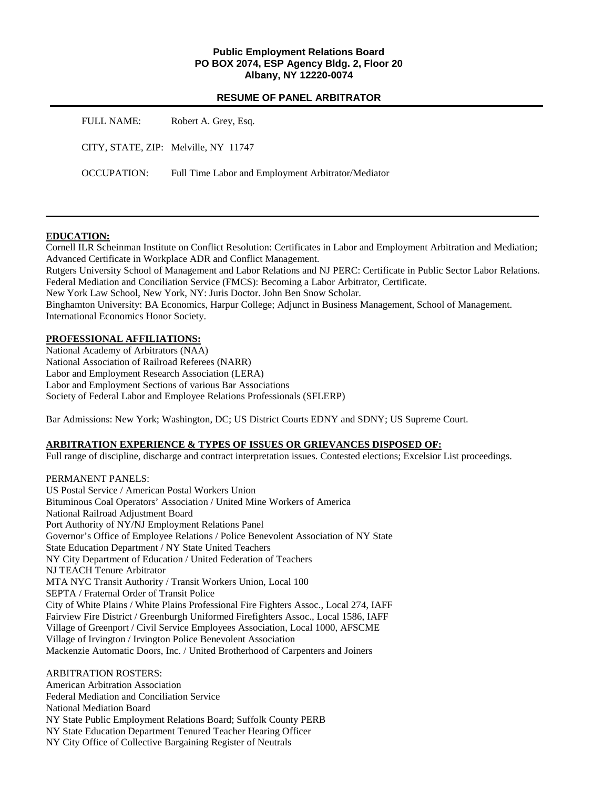### **Public Employment Relations Board PO BOX 2074, ESP Agency Bldg. 2, Floor 20 Albany, NY 12220-0074**

|             | <b>RESUME OF PANEL ARBITRATOR</b>                  |
|-------------|----------------------------------------------------|
| FULL NAME:  | Robert A. Grey, Esq.                               |
|             | CITY, STATE, ZIP: Melville, NY 11747               |
| OCCUPATION: | Full Time Labor and Employment Arbitrator/Mediator |

### **EDUCATION:**

Cornell ILR Scheinman Institute on Conflict Resolution: Certificates in Labor and Employment Arbitration and Mediation; Advanced Certificate in Workplace ADR and Conflict Management. Rutgers University School of Management and Labor Relations and NJ PERC: Certificate in Public Sector Labor Relations. Federal Mediation and Conciliation Service (FMCS): Becoming a Labor Arbitrator, Certificate. New York Law School, New York, NY: Juris Doctor. John Ben Snow Scholar. Binghamton University: BA Economics, Harpur College; Adjunct in Business Management, School of Management. International Economics Honor Society.

### **PROFESSIONAL AFFILIATIONS:**

National Academy of Arbitrators (NAA) National Association of Railroad Referees (NARR) Labor and Employment Research Association (LERA) Labor and Employment Sections of various Bar Associations Society of Federal Labor and Employee Relations Professionals (SFLERP)

Bar Admissions: New York; Washington, DC; US District Courts EDNY and SDNY; US Supreme Court.

### **ARBITRATION EXPERIENCE & TYPES OF ISSUES OR GRIEVANCES DISPOSED OF:**

Full range of discipline, discharge and contract interpretation issues. Contested elections; Excelsior List proceedings.

PERMANENT PANELS: US Postal Service / American Postal Workers Union Bituminous Coal Operators' Association / United Mine Workers of America National Railroad Adjustment Board Port Authority of NY/NJ Employment Relations Panel Governor's Office of Employee Relations / Police Benevolent Association of NY State State Education Department / NY State United Teachers NY City Department of Education / United Federation of Teachers NJ TEACH Tenure Arbitrator MTA NYC Transit Authority / Transit Workers Union, Local 100 SEPTA / Fraternal Order of Transit Police City of White Plains / White Plains Professional Fire Fighters Assoc., Local 274, IAFF Fairview Fire District / Greenburgh Uniformed Firefighters Assoc., Local 1586, IAFF Village of Greenport / Civil Service Employees Association, Local 1000, AFSCME Village of Irvington / Irvington Police Benevolent Association Mackenzie Automatic Doors, Inc. / United Brotherhood of Carpenters and Joiners

ARBITRATION ROSTERS:

American Arbitration Association Federal Mediation and Conciliation Service National Mediation Board NY State Public Employment Relations Board; Suffolk County PERB NY State Education Department Tenured Teacher Hearing Officer NY City Office of Collective Bargaining Register of Neutrals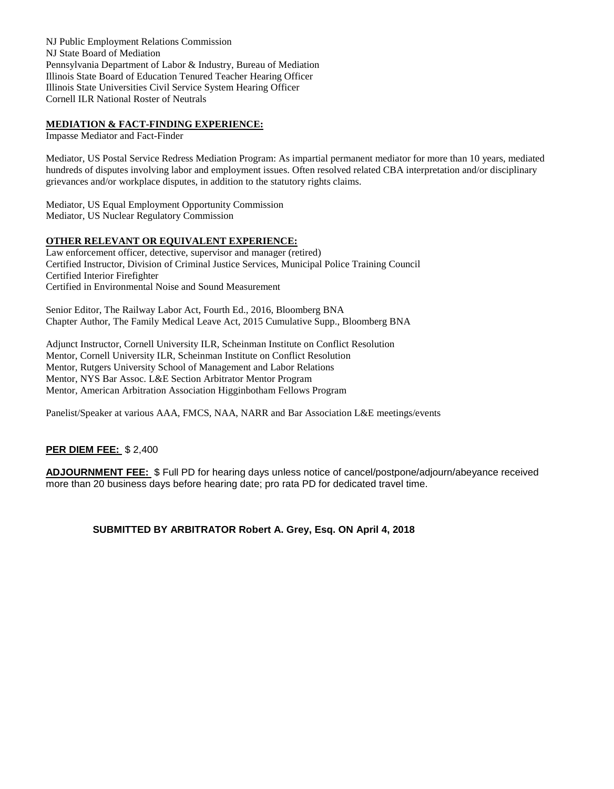NJ Public Employment Relations Commission NJ State Board of Mediation Pennsylvania Department of Labor & Industry, Bureau of Mediation Illinois State Board of Education Tenured Teacher Hearing Officer Illinois State Universities Civil Service System Hearing Officer Cornell ILR National Roster of Neutrals

### **MEDIATION & FACT-FINDING EXPERIENCE:**

Impasse Mediator and Fact-Finder

Mediator, US Postal Service Redress Mediation Program: As impartial permanent mediator for more than 10 years, mediated hundreds of disputes involving labor and employment issues. Often resolved related CBA interpretation and/or disciplinary grievances and/or workplace disputes, in addition to the statutory rights claims.

Mediator, US Equal Employment Opportunity Commission Mediator, US Nuclear Regulatory Commission

#### **OTHER RELEVANT OR EQUIVALENT EXPERIENCE:**

Law enforcement officer, detective, supervisor and manager (retired) Certified Instructor, Division of Criminal Justice Services, Municipal Police Training Council Certified Interior Firefighter Certified in Environmental Noise and Sound Measurement

Senior Editor, The Railway Labor Act, Fourth Ed., 2016, Bloomberg BNA Chapter Author, The Family Medical Leave Act, 2015 Cumulative Supp., Bloomberg BNA

Adjunct Instructor, Cornell University ILR, Scheinman Institute on Conflict Resolution Mentor, Cornell University ILR, Scheinman Institute on Conflict Resolution Mentor, Rutgers University School of Management and Labor Relations Mentor, NYS Bar Assoc. L&E Section Arbitrator Mentor Program Mentor, American Arbitration Association Higginbotham Fellows Program

Panelist/Speaker at various AAA, FMCS, NAA, NARR and Bar Association L&E meetings/events

### **PER DIEM FEE:** \$ 2,400

**ADJOURNMENT FEE:** \$ Full PD for hearing days unless notice of cancel/postpone/adjourn/abeyance received more than 20 business days before hearing date; pro rata PD for dedicated travel time.

**SUBMITTED BY ARBITRATOR Robert A. Grey, Esq. ON April 4, 2018**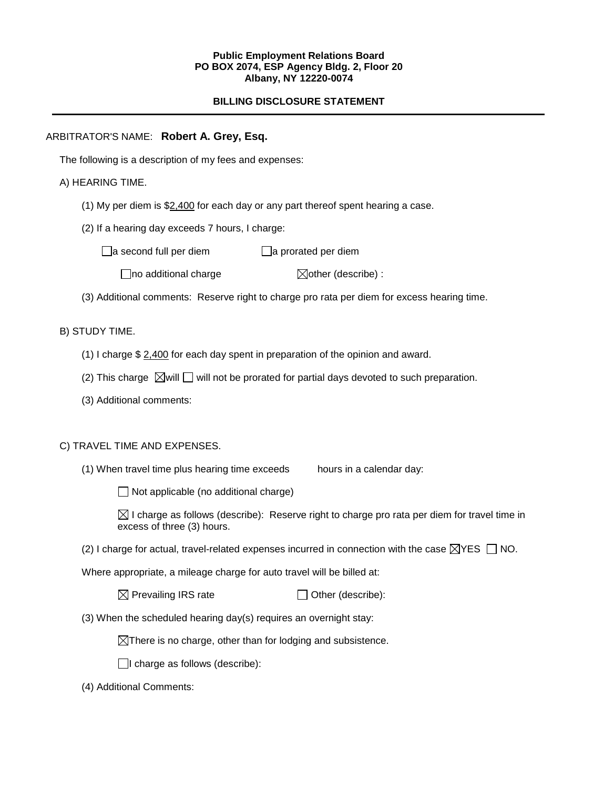### **Public Employment Relations Board PO BOX 2074, ESP Agency Bldg. 2, Floor 20 Albany, NY 12220-0074**

# **BILLING DISCLOSURE STATEMENT**

## ARBITRATOR'S NAME: **Robert A. Grey, Esq.**

The following is a description of my fees and expenses:

## A) HEARING TIME.

- (1) My per diem is \$2,400 for each day or any part thereof spent hearing a case.
- (2) If a hearing day exceeds 7 hours, I charge:

 $\Box$ a second full per diem  $\Box$ a prorated per diem

 $\Box$ no additional charge  $\Box$ other (describe) :

(3) Additional comments: Reserve right to charge pro rata per diem for excess hearing time.

## B) STUDY TIME.

- (1) I charge \$ 2,400 for each day spent in preparation of the opinion and award.
- (2) This charge  $\boxtimes$  will  $\Box$  will not be prorated for partial days devoted to such preparation.
- (3) Additional comments:

### C) TRAVEL TIME AND EXPENSES.

(1) When travel time plus hearing time exceeds hours in a calendar day:

 $\Box$  Not applicable (no additional charge)

 $\boxtimes$  I charge as follows (describe): Reserve right to charge pro rata per diem for travel time in excess of three (3) hours.

(2) I charge for actual, travel-related expenses incurred in connection with the case  $\boxtimes$ YES  $\Box$  NO.

Where appropriate, a mileage charge for auto travel will be billed at:

 $\boxtimes$  Prevailing IRS rate  $\Box$  Other (describe):

(3) When the scheduled hearing day(s) requires an overnight stay:

 $\boxtimes$ There is no charge, other than for lodging and subsistence.

 $\Box$ I charge as follows (describe):

(4) Additional Comments: